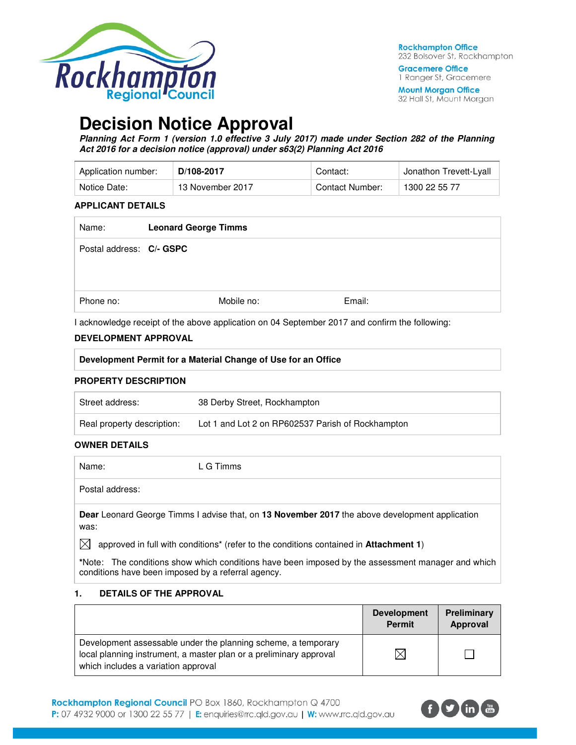

**Gracemere Office** 1 Ranger St, Gracemere

**Mount Morgan Office** 32 Hall St, Mount Morgan

# **Decision Notice Approval**

**Planning Act Form 1 (version 1.0 effective 3 July 2017) made under Section 282 of the Planning Act 2016 for a decision notice (approval) under s63(2) Planning Act 2016** 

| Application number: | D/108-2017       | Contact:        | <sup>⊥</sup> Jonathon Trevett-Lyall |
|---------------------|------------------|-----------------|-------------------------------------|
| Notice Date:        | 13 November 2017 | Contact Number: | 1300 22 55 77                       |

#### **APPLICANT DETAILS**

| Name:                    | <b>Leonard George Timms</b> |            |        |
|--------------------------|-----------------------------|------------|--------|
| Postal address: C/- GSPC |                             |            |        |
| Phone no:                |                             | Mobile no: | Email: |

I acknowledge receipt of the above application on 04 September 2017 and confirm the following:

# **DEVELOPMENT APPROVAL**

| <b>DEVELOPMENT APPROVAL</b>                                   |
|---------------------------------------------------------------|
| Development Permit for a Material Change of Use for an Office |
| <b>PROPERTY DESCRIPTION</b>                                   |

# Street address: 38 Derby Street, Rockhampton Real property description: Lot 1 and Lot 2 on RP602537 Parish of Rockhampton

#### **OWNER DETAILS**

Name: L G Timms

Postal address:

**Dear** Leonard George Timms I advise that, on **13 November 2017** the above development application was:

 $\boxtimes$  approved in full with conditions<sup>\*</sup> (refer to the conditions contained in **Attachment 1**)

**\***Note:The conditions show which conditions have been imposed by the assessment manager and which conditions have been imposed by a referral agency.

#### **1. DETAILS OF THE APPROVAL**

|                                                                                                                                                                            | <b>Development</b><br><b>Permit</b> | Preliminary<br>Approval |
|----------------------------------------------------------------------------------------------------------------------------------------------------------------------------|-------------------------------------|-------------------------|
| Development assessable under the planning scheme, a temporary<br>local planning instrument, a master plan or a preliminary approval<br>which includes a variation approval | $\times$                            |                         |

Rockhampton Regional Council PO Box 1860, Rockhampton Q 4700 P: 07 4932 9000 or 1300 22 55 77 | E: enquiries@rrc.qld.gov.au | W: www.rrc.qld.gov.au

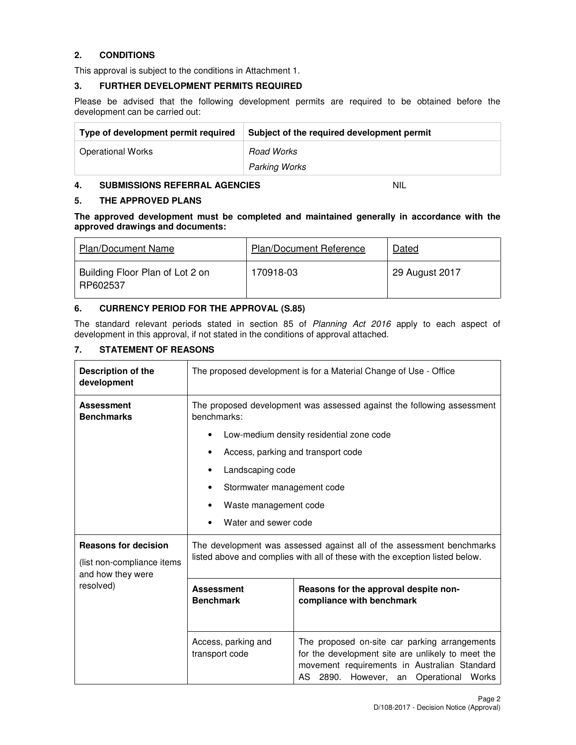# **2. CONDITIONS**

This approval is subject to the conditions in Attachment 1.

#### **3. FURTHER DEVELOPMENT PERMITS REQUIRED**

Please be advised that the following development permits are required to be obtained before the development can be carried out:

| Type of development permit required | Subject of the required development permit |
|-------------------------------------|--------------------------------------------|
| <b>Operational Works</b>            | Road Works                                 |
|                                     | <b>Parking Works</b>                       |

#### **4. SUBMISSIONS REFERRAL AGENCIES** NIL

#### **5. THE APPROVED PLANS**

**The approved development must be completed and maintained generally in accordance with the approved drawings and documents:** 

| <b>Plan/Document Name</b>                   | <b>Plan/Document Reference</b> | Dated          |
|---------------------------------------------|--------------------------------|----------------|
| Building Floor Plan of Lot 2 on<br>RP602537 | 170918-03                      | 29 August 2017 |

# **6. CURRENCY PERIOD FOR THE APPROVAL (S.85)**

The standard relevant periods stated in section 85 of Planning Act 2016 apply to each aspect of development in this approval, if not stated in the conditions of approval attached.

# **7. STATEMENT OF REASONS**

| Description of the<br>development                                              | The proposed development is for a Material Change of Use - Office                                                                                                                                                                                  |                                                                                                                                                                                              |  |
|--------------------------------------------------------------------------------|----------------------------------------------------------------------------------------------------------------------------------------------------------------------------------------------------------------------------------------------------|----------------------------------------------------------------------------------------------------------------------------------------------------------------------------------------------|--|
| <b>Assessment</b><br><b>Benchmarks</b>                                         | The proposed development was assessed against the following assessment<br>benchmarks:<br>Low-medium density residential zone code<br>Access, parking and transport code<br>Landscaping code<br>Stormwater management code<br>Waste management code |                                                                                                                                                                                              |  |
|                                                                                | Water and sewer code                                                                                                                                                                                                                               |                                                                                                                                                                                              |  |
| <b>Reasons for decision</b><br>(list non-compliance items<br>and how they were | The development was assessed against all of the assessment benchmarks<br>listed above and complies with all of these with the exception listed below.                                                                                              |                                                                                                                                                                                              |  |
| resolved)                                                                      | <b>Assessment</b><br><b>Benchmark</b>                                                                                                                                                                                                              | Reasons for the approval despite non-<br>compliance with benchmark                                                                                                                           |  |
|                                                                                | Access, parking and<br>transport code                                                                                                                                                                                                              | The proposed on-site car parking arrangements<br>for the development site are unlikely to meet the<br>movement requirements in Australian Standard<br>AS 2890. However, an Operational Works |  |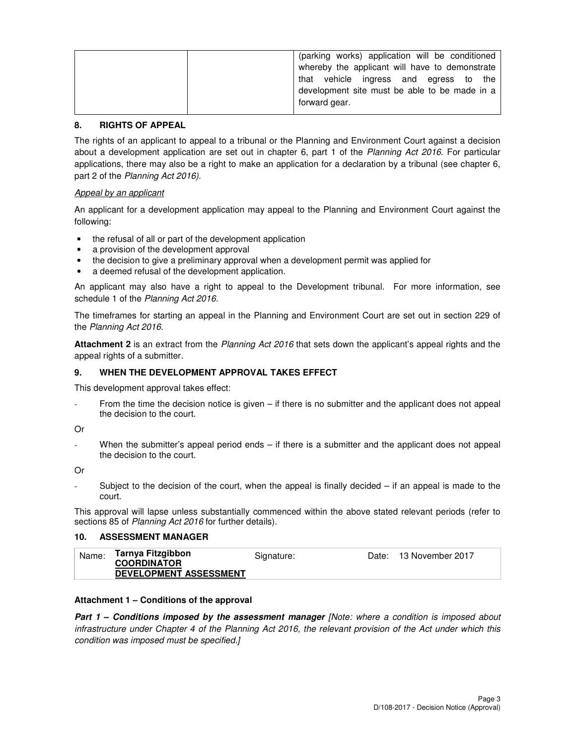| (parking works) application will be conditioned |
|-------------------------------------------------|
| whereby the applicant will have to demonstrate  |
| that vehicle ingress and egress to the          |
| development site must be able to be made in a   |
| forward gear.                                   |

#### **8. RIGHTS OF APPEAL**

The rights of an applicant to appeal to a tribunal or the Planning and Environment Court against a decision about a development application are set out in chapter 6, part 1 of the Planning Act 2016. For particular applications, there may also be a right to make an application for a declaration by a tribunal (see chapter 6, part 2 of the Planning Act 2016).

#### Appeal by an applicant

An applicant for a development application may appeal to the Planning and Environment Court against the following:

- the refusal of all or part of the development application
- a provision of the development approval
- the decision to give a preliminary approval when a development permit was applied for
- a deemed refusal of the development application.

An applicant may also have a right to appeal to the Development tribunal. For more information, see schedule 1 of the Planning Act 2016.

The timeframes for starting an appeal in the Planning and Environment Court are set out in section 229 of the Planning Act 2016.

**Attachment 2** is an extract from the Planning Act 2016 that sets down the applicant's appeal rights and the appeal rights of a submitter.

#### **9. WHEN THE DEVELOPMENT APPROVAL TAKES EFFECT**

This development approval takes effect:

From the time the decision notice is given  $-$  if there is no submitter and the applicant does not appeal the decision to the court.

Or

When the submitter's appeal period ends  $-$  if there is a submitter and the applicant does not appeal the decision to the court.

Or

Subject to the decision of the court, when the appeal is finally decided  $-$  if an appeal is made to the court.

This approval will lapse unless substantially commenced within the above stated relevant periods (refer to sections 85 of Planning Act 2016 for further details).

#### **10. ASSESSMENT MANAGER**

| Tarnya Fitzgibbon<br>Name:<br>13 November 2017<br>Signature:<br>Date:<br><b>COORDINATOR</b><br><b>DEVELOPMENT ASSESSMENT</b> |  |
|------------------------------------------------------------------------------------------------------------------------------|--|
|------------------------------------------------------------------------------------------------------------------------------|--|

#### **Attachment 1 – Conditions of the approval**

**Part 1 – Conditions imposed by the assessment manager** *[Note: where a condition is imposed about* infrastructure under Chapter 4 of the Planning Act 2016, the relevant provision of the Act under which this condition was imposed must be specified.]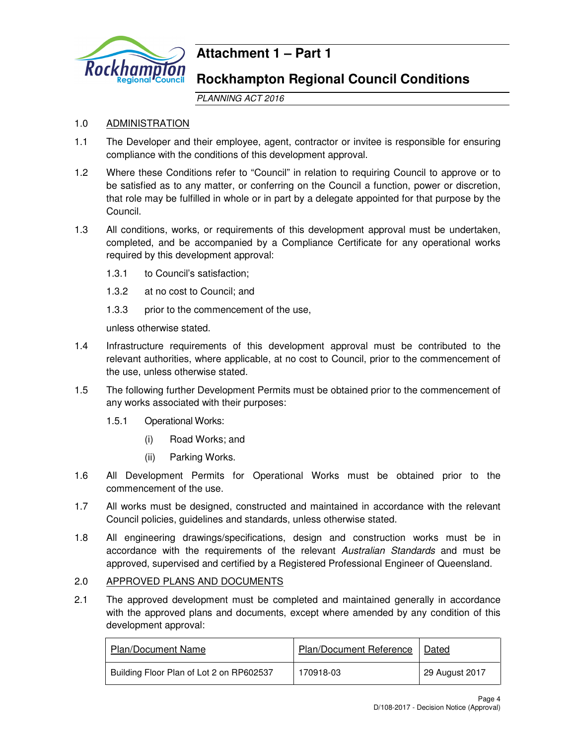

# **Attachment 1 – Part 1**

# **Rockhampton Regional Council Conditions**

PLANNING ACT 2016

# 1.0 ADMINISTRATION

- 1.1 The Developer and their employee, agent, contractor or invitee is responsible for ensuring compliance with the conditions of this development approval.
- 1.2 Where these Conditions refer to "Council" in relation to requiring Council to approve or to be satisfied as to any matter, or conferring on the Council a function, power or discretion, that role may be fulfilled in whole or in part by a delegate appointed for that purpose by the Council.
- 1.3 All conditions, works, or requirements of this development approval must be undertaken, completed, and be accompanied by a Compliance Certificate for any operational works required by this development approval:
	- 1.3.1 to Council's satisfaction;
	- 1.3.2 at no cost to Council; and
	- 1.3.3 prior to the commencement of the use,

unless otherwise stated.

- 1.4 Infrastructure requirements of this development approval must be contributed to the relevant authorities, where applicable, at no cost to Council, prior to the commencement of the use, unless otherwise stated.
- 1.5 The following further Development Permits must be obtained prior to the commencement of any works associated with their purposes:
	- 1.5.1 Operational Works:
		- (i) Road Works; and
		- (ii) Parking Works.
- 1.6 All Development Permits for Operational Works must be obtained prior to the commencement of the use.
- 1.7 All works must be designed, constructed and maintained in accordance with the relevant Council policies, guidelines and standards, unless otherwise stated.
- 1.8 All engineering drawings/specifications, design and construction works must be in accordance with the requirements of the relevant Australian Standards and must be approved, supervised and certified by a Registered Professional Engineer of Queensland.

# 2.0 APPROVED PLANS AND DOCUMENTS

2.1 The approved development must be completed and maintained generally in accordance with the approved plans and documents, except where amended by any condition of this development approval:

| <b>Plan/Document Name</b>                | Plan/Document Reference | Dated          |
|------------------------------------------|-------------------------|----------------|
| Building Floor Plan of Lot 2 on RP602537 | 170918-03               | 29 August 2017 |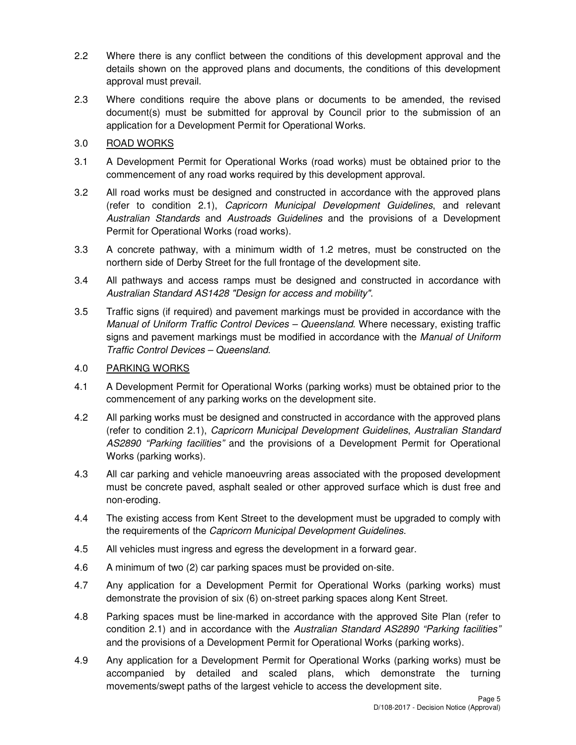- 2.2 Where there is any conflict between the conditions of this development approval and the details shown on the approved plans and documents, the conditions of this development approval must prevail.
- 2.3 Where conditions require the above plans or documents to be amended, the revised document(s) must be submitted for approval by Council prior to the submission of an application for a Development Permit for Operational Works.

# 3.0 ROAD WORKS

- 3.1 A Development Permit for Operational Works (road works) must be obtained prior to the commencement of any road works required by this development approval.
- 3.2 All road works must be designed and constructed in accordance with the approved plans (refer to condition 2.1), Capricorn Municipal Development Guidelines, and relevant Australian Standards and Austroads Guidelines and the provisions of a Development Permit for Operational Works (road works).
- 3.3 A concrete pathway, with a minimum width of 1.2 metres, must be constructed on the northern side of Derby Street for the full frontage of the development site.
- 3.4 All pathways and access ramps must be designed and constructed in accordance with Australian Standard AS1428 "Design for access and mobility".
- 3.5 Traffic signs (if required) and pavement markings must be provided in accordance with the Manual of Uniform Traffic Control Devices – Queensland. Where necessary, existing traffic signs and pavement markings must be modified in accordance with the Manual of Uniform Traffic Control Devices – Queensland.

# 4.0 PARKING WORKS

- 4.1 A Development Permit for Operational Works (parking works) must be obtained prior to the commencement of any parking works on the development site.
- 4.2 All parking works must be designed and constructed in accordance with the approved plans (refer to condition 2.1), Capricorn Municipal Development Guidelines, Australian Standard AS2890 "Parking facilities" and the provisions of a Development Permit for Operational Works (parking works).
- 4.3 All car parking and vehicle manoeuvring areas associated with the proposed development must be concrete paved, asphalt sealed or other approved surface which is dust free and non-eroding.
- 4.4 The existing access from Kent Street to the development must be upgraded to comply with the requirements of the Capricorn Municipal Development Guidelines.
- 4.5 All vehicles must ingress and egress the development in a forward gear.
- 4.6 A minimum of two (2) car parking spaces must be provided on-site.
- 4.7 Any application for a Development Permit for Operational Works (parking works) must demonstrate the provision of six (6) on-street parking spaces along Kent Street.
- 4.8 Parking spaces must be line-marked in accordance with the approved Site Plan (refer to condition 2.1) and in accordance with the Australian Standard AS2890 "Parking facilities" and the provisions of a Development Permit for Operational Works (parking works).
- 4.9 Any application for a Development Permit for Operational Works (parking works) must be accompanied by detailed and scaled plans, which demonstrate the turning movements/swept paths of the largest vehicle to access the development site.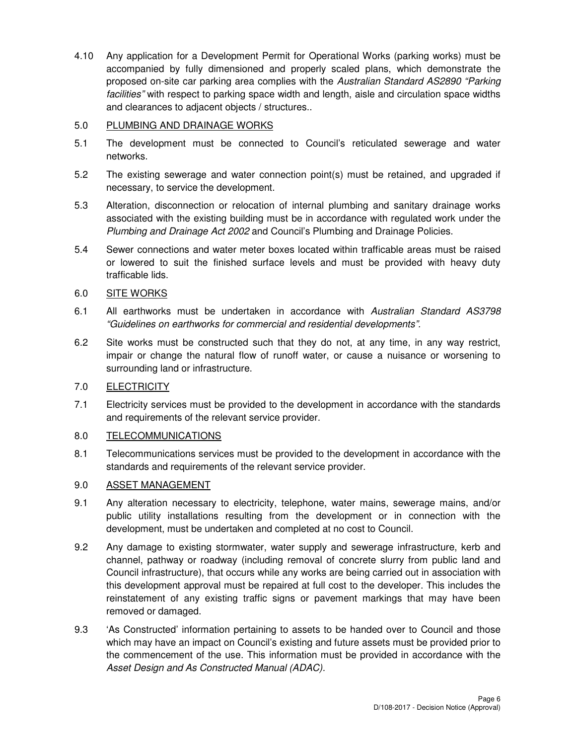4.10 Any application for a Development Permit for Operational Works (parking works) must be accompanied by fully dimensioned and properly scaled plans, which demonstrate the proposed on-site car parking area complies with the Australian Standard AS2890 "Parking facilities" with respect to parking space width and length, aisle and circulation space widths and clearances to adjacent objects / structures..

# 5.0 PLUMBING AND DRAINAGE WORKS

- 5.1 The development must be connected to Council's reticulated sewerage and water networks.
- 5.2 The existing sewerage and water connection point(s) must be retained, and upgraded if necessary, to service the development.
- 5.3 Alteration, disconnection or relocation of internal plumbing and sanitary drainage works associated with the existing building must be in accordance with regulated work under the Plumbing and Drainage Act 2002 and Council's Plumbing and Drainage Policies.
- 5.4 Sewer connections and water meter boxes located within trafficable areas must be raised or lowered to suit the finished surface levels and must be provided with heavy duty trafficable lids.

# 6.0 SITE WORKS

- 6.1 All earthworks must be undertaken in accordance with Australian Standard AS3798 "Guidelines on earthworks for commercial and residential developments".
- 6.2 Site works must be constructed such that they do not, at any time, in any way restrict, impair or change the natural flow of runoff water, or cause a nuisance or worsening to surrounding land or infrastructure.

# 7.0 ELECTRICITY

7.1 Electricity services must be provided to the development in accordance with the standards and requirements of the relevant service provider.

# 8.0 TELECOMMUNICATIONS

8.1 Telecommunications services must be provided to the development in accordance with the standards and requirements of the relevant service provider.

# 9.0 ASSET MANAGEMENT

- 9.1 Any alteration necessary to electricity, telephone, water mains, sewerage mains, and/or public utility installations resulting from the development or in connection with the development, must be undertaken and completed at no cost to Council.
- 9.2 Any damage to existing stormwater, water supply and sewerage infrastructure, kerb and channel, pathway or roadway (including removal of concrete slurry from public land and Council infrastructure), that occurs while any works are being carried out in association with this development approval must be repaired at full cost to the developer. This includes the reinstatement of any existing traffic signs or pavement markings that may have been removed or damaged.
- 9.3 'As Constructed' information pertaining to assets to be handed over to Council and those which may have an impact on Council's existing and future assets must be provided prior to the commencement of the use. This information must be provided in accordance with the Asset Design and As Constructed Manual (ADAC).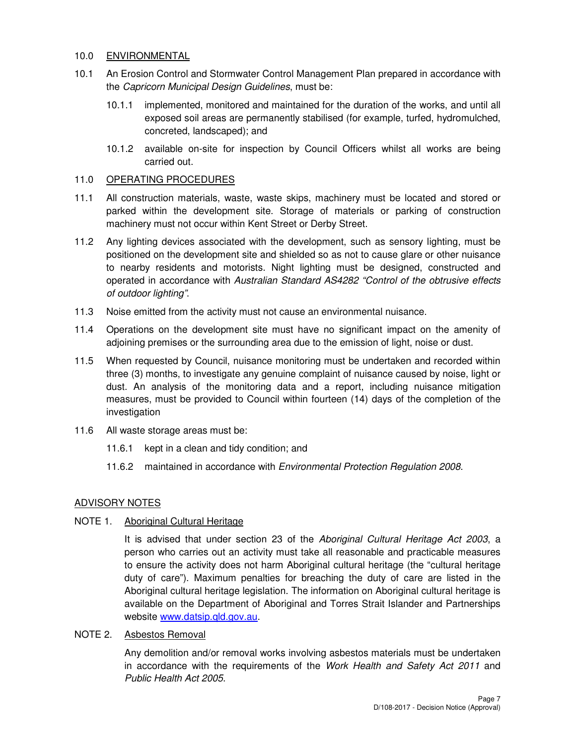#### 10.0 ENVIRONMENTAL

- 10.1 An Erosion Control and Stormwater Control Management Plan prepared in accordance with the Capricorn Municipal Design Guidelines, must be:
	- 10.1.1 implemented, monitored and maintained for the duration of the works, and until all exposed soil areas are permanently stabilised (for example, turfed, hydromulched, concreted, landscaped); and
	- 10.1.2 available on-site for inspection by Council Officers whilst all works are being carried out.

#### 11.0 OPERATING PROCEDURES

- 11.1 All construction materials, waste, waste skips, machinery must be located and stored or parked within the development site. Storage of materials or parking of construction machinery must not occur within Kent Street or Derby Street.
- 11.2 Any lighting devices associated with the development, such as sensory lighting, must be positioned on the development site and shielded so as not to cause glare or other nuisance to nearby residents and motorists. Night lighting must be designed, constructed and operated in accordance with Australian Standard AS4282 "Control of the obtrusive effects of outdoor lighting".
- 11.3 Noise emitted from the activity must not cause an environmental nuisance.
- 11.4 Operations on the development site must have no significant impact on the amenity of adjoining premises or the surrounding area due to the emission of light, noise or dust.
- 11.5 When requested by Council, nuisance monitoring must be undertaken and recorded within three (3) months, to investigate any genuine complaint of nuisance caused by noise, light or dust. An analysis of the monitoring data and a report, including nuisance mitigation measures, must be provided to Council within fourteen (14) days of the completion of the investigation
- 11.6 All waste storage areas must be:
	- 11.6.1 kept in a clean and tidy condition; and
	- 11.6.2 maintained in accordance with *Environmental Protection Regulation 2008*.

# ADVISORY NOTES

# NOTE 1. Aboriginal Cultural Heritage

It is advised that under section 23 of the Aboriginal Cultural Heritage Act 2003, a person who carries out an activity must take all reasonable and practicable measures to ensure the activity does not harm Aboriginal cultural heritage (the "cultural heritage duty of care"). Maximum penalties for breaching the duty of care are listed in the Aboriginal cultural heritage legislation. The information on Aboriginal cultural heritage is available on the Department of Aboriginal and Torres Strait Islander and Partnerships website www.datsip.qld.gov.au.

#### NOTE 2. Asbestos Removal

Any demolition and/or removal works involving asbestos materials must be undertaken in accordance with the requirements of the Work Health and Safety Act 2011 and Public Health Act 2005.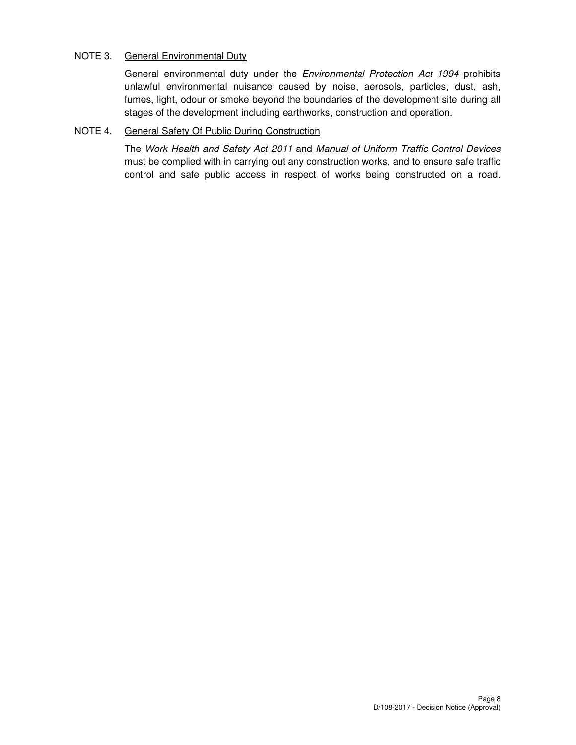# NOTE 3. General Environmental Duty

General environmental duty under the Environmental Protection Act 1994 prohibits unlawful environmental nuisance caused by noise, aerosols, particles, dust, ash, fumes, light, odour or smoke beyond the boundaries of the development site during all stages of the development including earthworks, construction and operation.

# NOTE 4. General Safety Of Public During Construction

The Work Health and Safety Act 2011 and Manual of Uniform Traffic Control Devices must be complied with in carrying out any construction works, and to ensure safe traffic control and safe public access in respect of works being constructed on a road.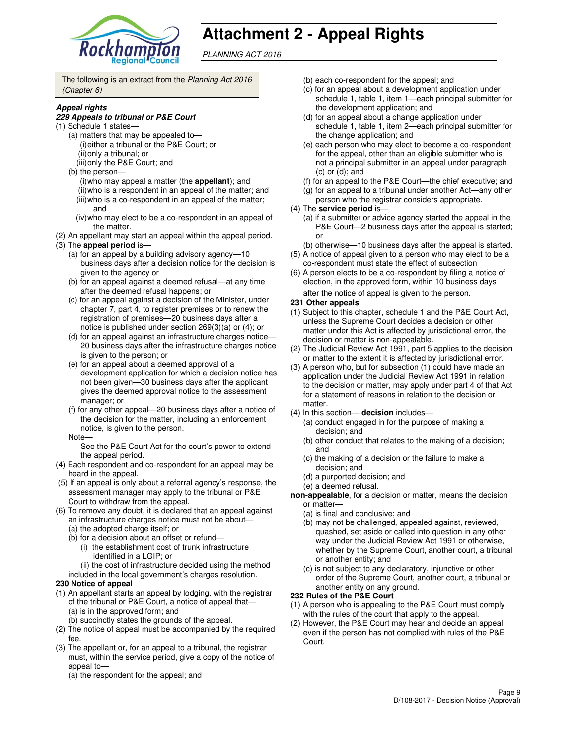

# **Attachment 2 - Appeal Rights**

PLANNING ACT 2016

The following is an extract from the Planning Act 2016 (Chapter 6)

#### **Appeal rights**

#### **229 Appeals to tribunal or P&E Court**

- (1) Schedule 1 states—
	- (a) matters that may be appealed to— (i) either a tribunal or the P&E Court; or (ii) only a tribunal; or (iii) only the P&E Court; and
	- (b) the person—
		- (i) who may appeal a matter (the **appellant**); and (ii) who is a respondent in an appeal of the matter; and (iii) who is a co-respondent in an appeal of the matter; and
		- (iv) who may elect to be a co-respondent in an appeal of the matter.
- (2) An appellant may start an appeal within the appeal period.
- (3) The **appeal period** is—
	- (a) for an appeal by a building advisory agency—10 business days after a decision notice for the decision is given to the agency or
	- (b) for an appeal against a deemed refusal—at any time after the deemed refusal happens; or
	- (c) for an appeal against a decision of the Minister, under chapter 7, part 4, to register premises or to renew the registration of premises—20 business days after a notice is published under section 269(3)(a) or (4); or
	- (d) for an appeal against an infrastructure charges notice— 20 business days after the infrastructure charges notice is given to the person; or
	- (e) for an appeal about a deemed approval of a development application for which a decision notice has not been given—30 business days after the applicant gives the deemed approval notice to the assessment manager; or
	- (f) for any other appeal—20 business days after a notice of the decision for the matter, including an enforcement notice, is given to the person.
	- Note—

See the P&E Court Act for the court's power to extend the appeal period.

- (4) Each respondent and co-respondent for an appeal may be heard in the appeal.
- (5) If an appeal is only about a referral agency's response, the assessment manager may apply to the tribunal or P&E Court to withdraw from the appeal.
- (6) To remove any doubt, it is declared that an appeal against an infrastructure charges notice must not be about—
	- (a) the adopted charge itself; or
	- (b) for a decision about an offset or refund—
		- (i) the establishment cost of trunk infrastructure identified in a LGIP; or
	- (ii) the cost of infrastructure decided using the method included in the local government's charges resolution.

#### **230 Notice of appeal**

- (1) An appellant starts an appeal by lodging, with the registrar of the tribunal or P&E Court, a notice of appeal that— (a) is in the approved form; and
	- (b) succinctly states the grounds of the appeal.
- (2) The notice of appeal must be accompanied by the required fee.
- (3) The appellant or, for an appeal to a tribunal, the registrar must, within the service period, give a copy of the notice of appeal to—
	- (a) the respondent for the appeal; and
- (b) each co-respondent for the appeal; and
- (c) for an appeal about a development application under schedule 1, table 1, item 1—each principal submitter for the development application; and
- (d) for an appeal about a change application under schedule 1, table 1, item 2—each principal submitter for the change application; and
- (e) each person who may elect to become a co-respondent for the appeal, other than an eligible submitter who is not a principal submitter in an appeal under paragraph  $(c)$  or  $(d)$ ; and
- (f) for an appeal to the P&E Court—the chief executive; and
- (g) for an appeal to a tribunal under another Act—any other person who the registrar considers appropriate.
- (4) The **service period** is—
	- (a) if a submitter or advice agency started the appeal in the P&E Court—2 business days after the appeal is started; or
	- (b) otherwise—10 business days after the appeal is started.
- (5) A notice of appeal given to a person who may elect to be a co-respondent must state the effect of subsection
- (6) A person elects to be a co-respondent by filing a notice of election, in the approved form, within 10 business days after the notice of appeal is given to the person*.*

#### **231 Other appeals**

- (1) Subject to this chapter, schedule 1 and the P&E Court Act, unless the Supreme Court decides a decision or other matter under this Act is affected by jurisdictional error, the decision or matter is non-appealable.
- (2) The Judicial Review Act 1991, part 5 applies to the decision or matter to the extent it is affected by jurisdictional error.
- (3) A person who, but for subsection (1) could have made an application under the Judicial Review Act 1991 in relation to the decision or matter, may apply under part 4 of that Act for a statement of reasons in relation to the decision or matter.
- (4) In this section— **decision** includes—
	- (a) conduct engaged in for the purpose of making a decision; and
	- (b) other conduct that relates to the making of a decision; and
	- (c) the making of a decision or the failure to make a decision; and
	- (d) a purported decision; and
	- (e) a deemed refusal.

**non-appealable**, for a decision or matter, means the decision or matter—

- (a) is final and conclusive; and
- (b) may not be challenged, appealed against, reviewed, quashed, set aside or called into question in any other way under the Judicial Review Act 1991 or otherwise, whether by the Supreme Court, another court, a tribunal or another entity; and
- (c) is not subject to any declaratory, injunctive or other order of the Supreme Court, another court, a tribunal or another entity on any ground.

#### **232 Rules of the P&E Court**

- (1) A person who is appealing to the P&E Court must comply with the rules of the court that apply to the appeal.
- (2) However, the P&E Court may hear and decide an appeal even if the person has not complied with rules of the P&E Court.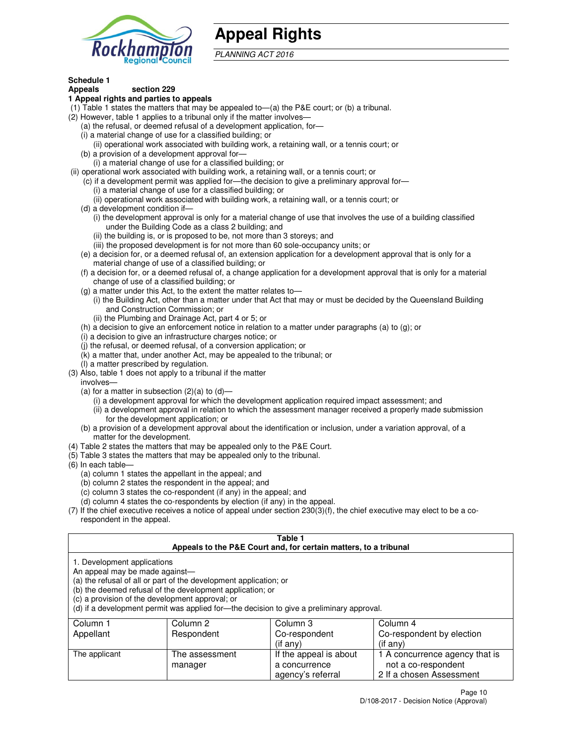

# **Appeal Rights**

PLANNING ACT 2016

#### **Schedule 1 Appeals section 229**

#### **1 Appeal rights and parties to appeals**

- (1) Table 1 states the matters that may be appealed to—(a) the P&E court; or (b) a tribunal.
- (2) However, table 1 applies to a tribunal only if the matter involves—
	- (a) the refusal, or deemed refusal of a development application, for—
	- (i) a material change of use for a classified building; or
	- (ii) operational work associated with building work, a retaining wall, or a tennis court; or (b) a provision of a development approval for—
	- (i) a material change of use for a classified building; or
- (ii) operational work associated with building work, a retaining wall, or a tennis court; or
	- (c) if a development permit was applied for—the decision to give a preliminary approval for—
		- (i) a material change of use for a classified building; or
		- (ii) operational work associated with building work, a retaining wall, or a tennis court; or
	- (d) a development condition if—
		- (i) the development approval is only for a material change of use that involves the use of a building classified under the Building Code as a class 2 building; and
		- (ii) the building is, or is proposed to be, not more than 3 storeys; and
		- (iii) the proposed development is for not more than 60 sole-occupancy units; or
	- (e) a decision for, or a deemed refusal of, an extension application for a development approval that is only for a material change of use of a classified building; or
	- (f) a decision for, or a deemed refusal of, a change application for a development approval that is only for a material change of use of a classified building; or
	- (g) a matter under this Act, to the extent the matter relates to—
		- (i) the Building Act, other than a matter under that Act that may or must be decided by the Queensland Building and Construction Commission; or
		- (ii) the Plumbing and Drainage Act, part 4 or 5; or
	- (h) a decision to give an enforcement notice in relation to a matter under paragraphs (a) to (g); or
	- (i) a decision to give an infrastructure charges notice; or
	- (j) the refusal, or deemed refusal, of a conversion application; or
	- (k) a matter that, under another Act, may be appealed to the tribunal; or
	- (l) a matter prescribed by regulation.
- (3) Also, table 1 does not apply to a tribunal if the matter
- involves—
	- (a) for a matter in subsection  $(2)(a)$  to  $(d)$ 
		- (i) a development approval for which the development application required impact assessment; and
		- (ii) a development approval in relation to which the assessment manager received a properly made submission for the development application; or
	- (b) a provision of a development approval about the identification or inclusion, under a variation approval, of a matter for the development.
- (4) Table 2 states the matters that may be appealed only to the P&E Court.
- (5) Table 3 states the matters that may be appealed only to the tribunal.
- (6) In each table—
	- (a) column 1 states the appellant in the appeal; and
	- (b) column 2 states the respondent in the appeal; and
	- (c) column 3 states the co-respondent (if any) in the appeal; and
	- (d) column 4 states the co-respondents by election (if any) in the appeal.
- (7) If the chief executive receives a notice of appeal under section 230(3)(f), the chief executive may elect to be a corespondent in the appeal.

#### **Table 1**

| Appeals to the P&E Court and, for certain matters, to a tribunal                                                 |                                                                                                                                                                                                                            |                                         |                                                       |  |
|------------------------------------------------------------------------------------------------------------------|----------------------------------------------------------------------------------------------------------------------------------------------------------------------------------------------------------------------------|-----------------------------------------|-------------------------------------------------------|--|
| 1. Development applications<br>An appeal may be made against-<br>(c) a provision of the development approval; or | (a) the refusal of all or part of the development application; or<br>(b) the deemed refusal of the development application; or<br>(d) if a development permit was applied for—the decision to give a preliminary approval. |                                         |                                                       |  |
| Column 1                                                                                                         | Column 2                                                                                                                                                                                                                   | Column 3                                | Column 4                                              |  |
| Appellant                                                                                                        | Respondent                                                                                                                                                                                                                 | Co-respondent                           | Co-respondent by election                             |  |
|                                                                                                                  |                                                                                                                                                                                                                            | (if any)                                | $(if$ any)                                            |  |
| The applicant                                                                                                    | The assessment<br>manager                                                                                                                                                                                                  | If the appeal is about<br>a concurrence | 1 A concurrence agency that is<br>not a co-respondent |  |

agency's referral

2 If a chosen Assessment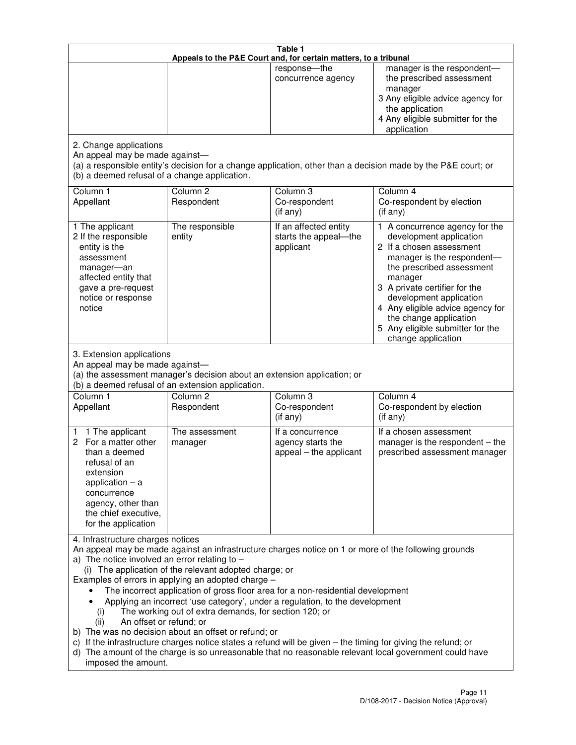| Table 1<br>Appeals to the P&E Court and, for certain matters, to a tribunal                                                                                                                          |                                                                                                                                                                                                                               |                                                                                                                                                                                                                                                                                 |                                                                                                                                                                                                                                                                                                                                                 |  |
|------------------------------------------------------------------------------------------------------------------------------------------------------------------------------------------------------|-------------------------------------------------------------------------------------------------------------------------------------------------------------------------------------------------------------------------------|---------------------------------------------------------------------------------------------------------------------------------------------------------------------------------------------------------------------------------------------------------------------------------|-------------------------------------------------------------------------------------------------------------------------------------------------------------------------------------------------------------------------------------------------------------------------------------------------------------------------------------------------|--|
|                                                                                                                                                                                                      |                                                                                                                                                                                                                               | response-the<br>concurrence agency                                                                                                                                                                                                                                              | manager is the respondent-<br>the prescribed assessment<br>manager<br>3 Any eligible advice agency for<br>the application<br>4 Any eligible submitter for the<br>application                                                                                                                                                                    |  |
| 2. Change applications<br>An appeal may be made against-<br>(b) a deemed refusal of a change application.                                                                                            |                                                                                                                                                                                                                               |                                                                                                                                                                                                                                                                                 | (a) a responsible entity's decision for a change application, other than a decision made by the P&E court; or                                                                                                                                                                                                                                   |  |
| Column 1<br>Appellant                                                                                                                                                                                | Column <sub>2</sub><br>Respondent                                                                                                                                                                                             | Column 3<br>Co-respondent<br>(if any)                                                                                                                                                                                                                                           | Column 4<br>Co-respondent by election<br>(if any)                                                                                                                                                                                                                                                                                               |  |
| 1 The applicant<br>2 If the responsible<br>entity is the<br>assessment<br>manager-an<br>affected entity that<br>gave a pre-request<br>notice or response<br>notice                                   | The responsible<br>entity                                                                                                                                                                                                     | If an affected entity<br>starts the appeal-the<br>applicant                                                                                                                                                                                                                     | 1 A concurrence agency for the<br>development application<br>2 If a chosen assessment<br>manager is the respondent-<br>the prescribed assessment<br>manager<br>3 A private certifier for the<br>development application<br>4 Any eligible advice agency for<br>the change application<br>5 Any eligible submitter for the<br>change application |  |
| 3. Extension applications<br>An appeal may be made against-<br>Column 1<br>Appellant                                                                                                                 | (a) the assessment manager's decision about an extension application; or<br>(b) a deemed refusal of an extension application.<br>Column <sub>2</sub><br>Respondent                                                            | Column 3<br>Co-respondent                                                                                                                                                                                                                                                       | Column 4<br>Co-respondent by election                                                                                                                                                                                                                                                                                                           |  |
| 1 The applicant<br>1<br>2 For a matter other<br>than a deemed<br>refusal of an<br>extension<br>application $-$ a<br>concurrence<br>agency, other than<br>the chief executive,<br>for the application | The assessment<br>manager                                                                                                                                                                                                     | (if any)<br>If a concurrence<br>agency starts the<br>appeal - the applicant                                                                                                                                                                                                     | (if any)<br>If a chosen assessment<br>manager is the respondent $-$ the<br>prescribed assessment manager                                                                                                                                                                                                                                        |  |
| 4. Infrastructure charges notices<br>a) The notice involved an error relating to $-$<br>(i)<br>An offset or refund; or<br>(ii)<br>imposed the amount.                                                | (i) The application of the relevant adopted charge; or<br>Examples of errors in applying an adopted charge -<br>The working out of extra demands, for section 120; or<br>b) The was no decision about an offset or refund; or | The incorrect application of gross floor area for a non-residential development<br>Applying an incorrect 'use category', under a regulation, to the development<br>c) If the infrastructure charges notice states a refund will be given - the timing for giving the refund; or | An appeal may be made against an infrastructure charges notice on 1 or more of the following grounds<br>d) The amount of the charge is so unreasonable that no reasonable relevant local government could have                                                                                                                                  |  |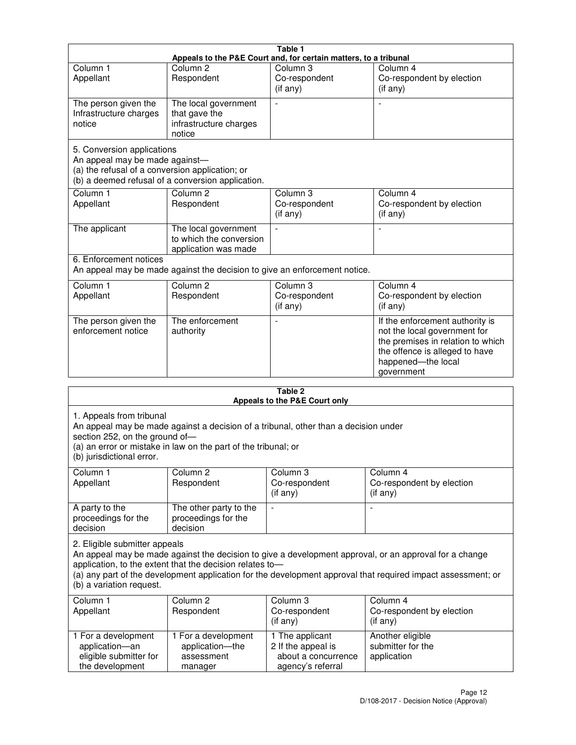| Table 1                                                                                                         |                                                                           |                                                  |                                                                                                                                                                            |  |  |
|-----------------------------------------------------------------------------------------------------------------|---------------------------------------------------------------------------|--------------------------------------------------|----------------------------------------------------------------------------------------------------------------------------------------------------------------------------|--|--|
| Appeals to the P&E Court and, for certain matters, to a tribunal                                                |                                                                           |                                                  |                                                                                                                                                                            |  |  |
| Column <sub>1</sub><br>Appellant                                                                                | Column <sub>2</sub><br>Respondent                                         | Column 3<br>Co-respondent<br>(if any)            | Column 4<br>Co-respondent by election<br>(if any)                                                                                                                          |  |  |
| The person given the<br>Infrastructure charges<br>notice                                                        | The local government<br>that gave the<br>infrastructure charges<br>notice |                                                  |                                                                                                                                                                            |  |  |
| 5. Conversion applications<br>An appeal may be made against-<br>(a) the refusal of a conversion application; or | (b) a deemed refusal of a conversion application.                         |                                                  |                                                                                                                                                                            |  |  |
| Column <sub>1</sub><br>Appellant                                                                                | Column <sub>2</sub><br>Respondent                                         | Column <sub>3</sub><br>Co-respondent<br>(if any) | Column 4<br>Co-respondent by election<br>(if any)                                                                                                                          |  |  |
| The applicant                                                                                                   | The local government<br>to which the conversion<br>application was made   |                                                  |                                                                                                                                                                            |  |  |
| 6. Enforcement notices<br>An appeal may be made against the decision to give an enforcement notice.             |                                                                           |                                                  |                                                                                                                                                                            |  |  |
| Column <sub>1</sub><br>Appellant                                                                                | Column <sub>2</sub><br>Respondent                                         | Column <sub>3</sub><br>Co-respondent<br>(if any) | Column 4<br>Co-respondent by election<br>(if any)                                                                                                                          |  |  |
| The person given the<br>enforcement notice                                                                      | The enforcement<br>authority                                              |                                                  | If the enforcement authority is<br>not the local government for<br>the premises in relation to which<br>the offence is alleged to have<br>happened-the local<br>government |  |  |
|                                                                                                                 |                                                                           | 9 Ahla                                           |                                                                                                                                                                            |  |  |

| Table 2<br>Appeals to the P&E Court only                                                                                                                                                                                                                                                                                                        |                                                                 |                                                                                   |                                                              |  |  |
|-------------------------------------------------------------------------------------------------------------------------------------------------------------------------------------------------------------------------------------------------------------------------------------------------------------------------------------------------|-----------------------------------------------------------------|-----------------------------------------------------------------------------------|--------------------------------------------------------------|--|--|
| 1. Appeals from tribunal<br>An appeal may be made against a decision of a tribunal, other than a decision under<br>section 252, on the ground of-<br>(a) an error or mistake in law on the part of the tribunal; or<br>(b) jurisdictional error.                                                                                                |                                                                 |                                                                                   |                                                              |  |  |
| Column <sub>1</sub><br>Appellant                                                                                                                                                                                                                                                                                                                | Column <sub>2</sub><br>Respondent                               | Column 3<br>Co-respondent<br>(if any)                                             | Column <sub>4</sub><br>Co-respondent by election<br>(if any) |  |  |
| A party to the<br>proceedings for the<br>decision                                                                                                                                                                                                                                                                                               | The other party to the<br>proceedings for the<br>decision       | $\blacksquare$                                                                    |                                                              |  |  |
| 2. Eligible submitter appeals<br>An appeal may be made against the decision to give a development approval, or an approval for a change<br>application, to the extent that the decision relates to-<br>(a) any part of the development application for the development approval that required impact assessment; or<br>(b) a variation request. |                                                                 |                                                                                   |                                                              |  |  |
| Column 1<br>Appellant                                                                                                                                                                                                                                                                                                                           | Column <sub>2</sub><br>Respondent                               | Column <sub>3</sub><br>Co-respondent<br>(i f any)                                 | Column 4<br>Co-respondent by election<br>(i f any)           |  |  |
| 1 For a development<br>application-an<br>eligible submitter for<br>the development                                                                                                                                                                                                                                                              | 1 For a development<br>application-the<br>assessment<br>manager | 1 The applicant<br>2 If the appeal is<br>about a concurrence<br>agency's referral | Another eligible<br>submitter for the<br>application         |  |  |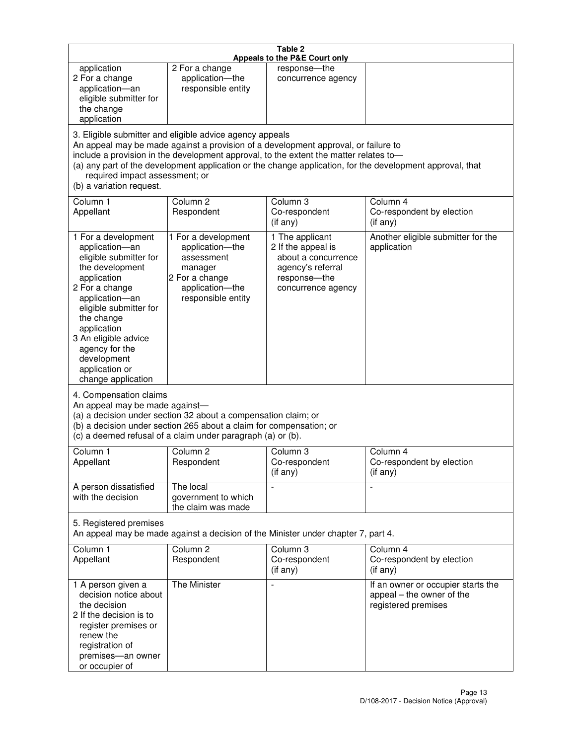| Table 2<br>Appeals to the P&E Court only                                                                                                                                                                                                                                                                                                                                                                           |                                                                                                                            |                                                                                                                         |                                                                                        |  |  |
|--------------------------------------------------------------------------------------------------------------------------------------------------------------------------------------------------------------------------------------------------------------------------------------------------------------------------------------------------------------------------------------------------------------------|----------------------------------------------------------------------------------------------------------------------------|-------------------------------------------------------------------------------------------------------------------------|----------------------------------------------------------------------------------------|--|--|
| application<br>2 For a change<br>application-an<br>eligible submitter for<br>the change<br>application                                                                                                                                                                                                                                                                                                             | 2 For a change<br>application-the<br>responsible entity                                                                    | response-the<br>concurrence agency                                                                                      |                                                                                        |  |  |
| 3. Eligible submitter and eligible advice agency appeals<br>An appeal may be made against a provision of a development approval, or failure to<br>include a provision in the development approval, to the extent the matter relates to-<br>(a) any part of the development application or the change application, for the development approval, that<br>required impact assessment; or<br>(b) a variation request. |                                                                                                                            |                                                                                                                         |                                                                                        |  |  |
| Column 1<br>Appellant                                                                                                                                                                                                                                                                                                                                                                                              | Column <sub>2</sub><br>Respondent                                                                                          | Column <sub>3</sub><br>Co-respondent<br>(if any)                                                                        | Column 4<br>Co-respondent by election<br>(i f any)                                     |  |  |
| 1 For a development<br>application-an<br>eligible submitter for<br>the development<br>application<br>2 For a change<br>application-an<br>eligible submitter for<br>the change<br>application<br>3 An eligible advice<br>agency for the<br>development<br>application or<br>change application                                                                                                                      | 1 For a development<br>application-the<br>assessment<br>manager<br>2 For a change<br>application-the<br>responsible entity | 1 The applicant<br>2 If the appeal is<br>about a concurrence<br>agency's referral<br>response-the<br>concurrence agency | Another eligible submitter for the<br>application                                      |  |  |
| 4. Compensation claims<br>An appeal may be made against-<br>(a) a decision under section 32 about a compensation claim; or<br>(b) a decision under section 265 about a claim for compensation; or<br>(c) a deemed refusal of a claim under paragraph (a) or (b).                                                                                                                                                   |                                                                                                                            |                                                                                                                         |                                                                                        |  |  |
| Column 1<br>Appellant                                                                                                                                                                                                                                                                                                                                                                                              | Column 2<br>Respondent                                                                                                     | Column 3<br>Co-respondent<br>(if any)                                                                                   | Column 4<br>Co-respondent by election<br>(if any)                                      |  |  |
| A person dissatisfied<br>with the decision                                                                                                                                                                                                                                                                                                                                                                         | The local<br>government to which<br>the claim was made                                                                     |                                                                                                                         | $\blacksquare$                                                                         |  |  |
| 5. Registered premises<br>An appeal may be made against a decision of the Minister under chapter 7, part 4.                                                                                                                                                                                                                                                                                                        |                                                                                                                            |                                                                                                                         |                                                                                        |  |  |
| Column 1<br>Appellant                                                                                                                                                                                                                                                                                                                                                                                              | Column <sub>2</sub><br>Respondent                                                                                          | Column 3<br>Co-respondent<br>(if any)                                                                                   | Column 4<br>Co-respondent by election<br>(if any)                                      |  |  |
| 1 A person given a<br>decision notice about<br>the decision<br>2 If the decision is to<br>register premises or<br>renew the<br>registration of<br>premises-an owner<br>or occupier of                                                                                                                                                                                                                              | The Minister                                                                                                               | $\overline{a}$                                                                                                          | If an owner or occupier starts the<br>appeal - the owner of the<br>registered premises |  |  |